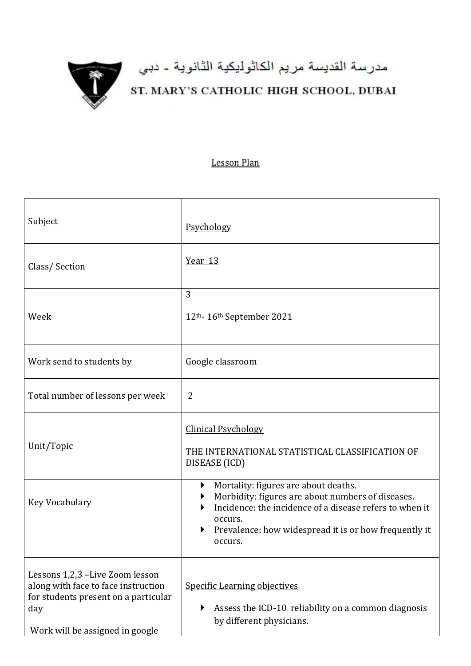

## مدرسة القديسة مريم الكاثوليكية الثانوية - دبي<br>ST. MARY'S CATHOLIC HIGH SCHOOL, DUBAI

## Lesson Plan

| Subject                                                                                                                                                  | Psychology                                                                                                                                                                                                                               |
|----------------------------------------------------------------------------------------------------------------------------------------------------------|------------------------------------------------------------------------------------------------------------------------------------------------------------------------------------------------------------------------------------------|
| Class/Section                                                                                                                                            | <u>Year 13</u>                                                                                                                                                                                                                           |
| Week                                                                                                                                                     | 3<br>12th- 16th September 2021                                                                                                                                                                                                           |
| Work send to students by                                                                                                                                 | Google classroom                                                                                                                                                                                                                         |
| Total number of lessons per week                                                                                                                         | 2                                                                                                                                                                                                                                        |
| Unit/Topic                                                                                                                                               | <b>Clinical Psychology</b><br>THE INTERNATIONAL STATISTICAL CLASSIFICATION OF<br>DISEASE (ICD)                                                                                                                                           |
| Key Vocabulary                                                                                                                                           | Mortality: figures are about deaths.<br>▶<br>Morbidity: figures are about numbers of diseases.<br>Incidence: the incidence of a disease refers to when it<br>occurs.<br>Prevalence: how widespread it is or how frequently it<br>occurs. |
| Lessons 1,2,3 -Live Zoom lesson<br>along with face to face instruction<br>for students present on a particular<br>day<br>Work will be assigned in google | <b>Specific Learning objectives</b><br>Assess the ICD-10 reliability on a common diagnosis<br>by different physicians.                                                                                                                   |